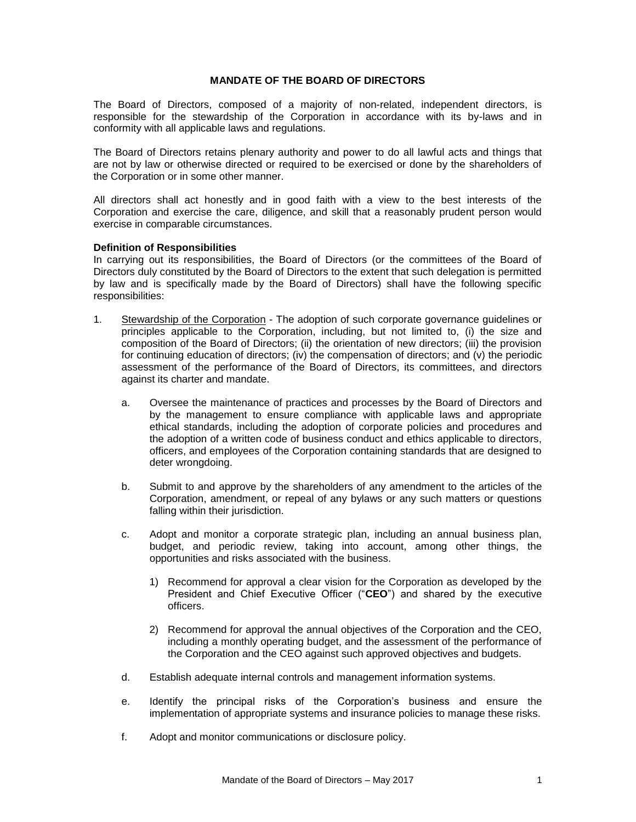# **MANDATE OF THE BOARD OF DIRECTORS**

The Board of Directors, composed of a majority of non-related, independent directors, is responsible for the stewardship of the Corporation in accordance with its by-laws and in conformity with all applicable laws and regulations.

The Board of Directors retains plenary authority and power to do all lawful acts and things that are not by law or otherwise directed or required to be exercised or done by the shareholders of the Corporation or in some other manner.

All directors shall act honestly and in good faith with a view to the best interests of the Corporation and exercise the care, diligence, and skill that a reasonably prudent person would exercise in comparable circumstances.

## **Definition of Responsibilities**

In carrying out its responsibilities, the Board of Directors (or the committees of the Board of Directors duly constituted by the Board of Directors to the extent that such delegation is permitted by law and is specifically made by the Board of Directors) shall have the following specific responsibilities:

- 1. Stewardship of the Corporation The adoption of such corporate governance guidelines or principles applicable to the Corporation, including, but not limited to, (i) the size and composition of the Board of Directors; (ii) the orientation of new directors; (iii) the provision for continuing education of directors; (iv) the compensation of directors; and (v) the periodic assessment of the performance of the Board of Directors, its committees, and directors against its charter and mandate.
	- a. Oversee the maintenance of practices and processes by the Board of Directors and by the management to ensure compliance with applicable laws and appropriate ethical standards, including the adoption of corporate policies and procedures and the adoption of a written code of business conduct and ethics applicable to directors, officers, and employees of the Corporation containing standards that are designed to deter wrongdoing.
	- b. Submit to and approve by the shareholders of any amendment to the articles of the Corporation, amendment, or repeal of any bylaws or any such matters or questions falling within their jurisdiction.
	- c. Adopt and monitor a corporate strategic plan, including an annual business plan, budget, and periodic review, taking into account, among other things, the opportunities and risks associated with the business.
		- 1) Recommend for approval a clear vision for the Corporation as developed by the President and Chief Executive Officer ("**CEO**") and shared by the executive officers.
		- 2) Recommend for approval the annual objectives of the Corporation and the CEO, including a monthly operating budget, and the assessment of the performance of the Corporation and the CEO against such approved objectives and budgets.
	- d. Establish adequate internal controls and management information systems.
	- e. Identify the principal risks of the Corporation's business and ensure the implementation of appropriate systems and insurance policies to manage these risks.
	- f. Adopt and monitor communications or disclosure policy.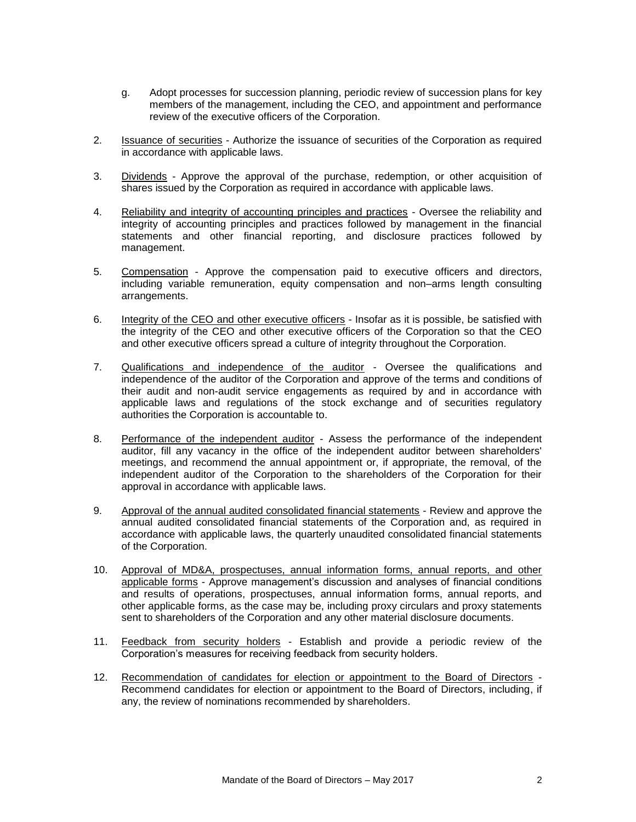- g. Adopt processes for succession planning, periodic review of succession plans for key members of the management, including the CEO, and appointment and performance review of the executive officers of the Corporation.
- 2. Issuance of securities Authorize the issuance of securities of the Corporation as required in accordance with applicable laws.
- 3. Dividends Approve the approval of the purchase, redemption, or other acquisition of shares issued by the Corporation as required in accordance with applicable laws.
- 4. Reliability and integrity of accounting principles and practices Oversee the reliability and integrity of accounting principles and practices followed by management in the financial statements and other financial reporting, and disclosure practices followed by management.
- 5. Compensation Approve the compensation paid to executive officers and directors, including variable remuneration, equity compensation and non–arms length consulting arrangements.
- 6. Integrity of the CEO and other executive officers Insofar as it is possible, be satisfied with the integrity of the CEO and other executive officers of the Corporation so that the CEO and other executive officers spread a culture of integrity throughout the Corporation.
- 7. Qualifications and independence of the auditor Oversee the qualifications and independence of the auditor of the Corporation and approve of the terms and conditions of their audit and non-audit service engagements as required by and in accordance with applicable laws and regulations of the stock exchange and of securities regulatory authorities the Corporation is accountable to.
- 8. Performance of the independent auditor Assess the performance of the independent auditor, fill any vacancy in the office of the independent auditor between shareholders' meetings, and recommend the annual appointment or, if appropriate, the removal, of the independent auditor of the Corporation to the shareholders of the Corporation for their approval in accordance with applicable laws.
- 9. Approval of the annual audited consolidated financial statements Review and approve the annual audited consolidated financial statements of the Corporation and, as required in accordance with applicable laws, the quarterly unaudited consolidated financial statements of the Corporation.
- 10. Approval of MD&A, prospectuses, annual information forms, annual reports, and other applicable forms - Approve management's discussion and analyses of financial conditions and results of operations, prospectuses, annual information forms, annual reports, and other applicable forms, as the case may be, including proxy circulars and proxy statements sent to shareholders of the Corporation and any other material disclosure documents.
- 11. Feedback from security holders Establish and provide a periodic review of the Corporation's measures for receiving feedback from security holders.
- 12. Recommendation of candidates for election or appointment to the Board of Directors Recommend candidates for election or appointment to the Board of Directors, including, if any, the review of nominations recommended by shareholders.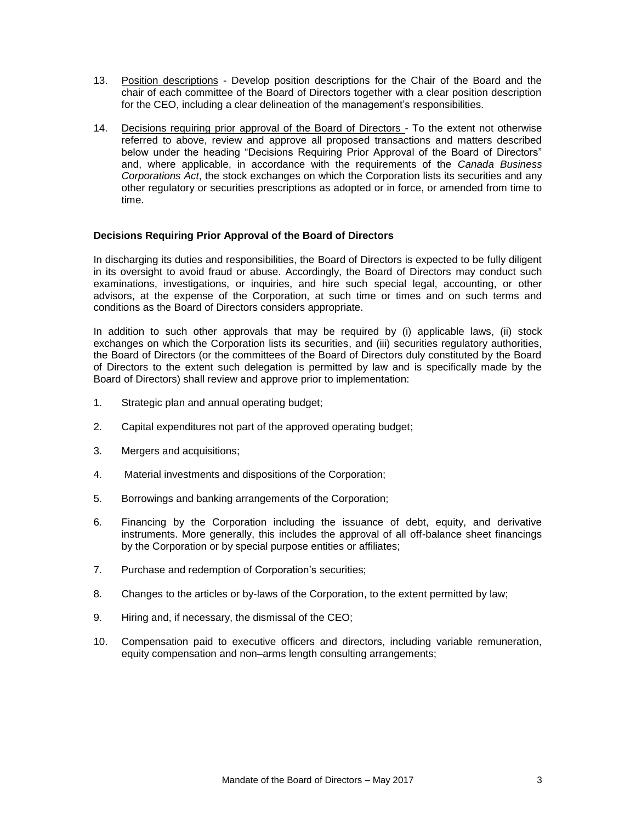- 13. Position descriptions Develop position descriptions for the Chair of the Board and the chair of each committee of the Board of Directors together with a clear position description for the CEO, including a clear delineation of the management's responsibilities.
- 14. Decisions requiring prior approval of the Board of Directors To the extent not otherwise referred to above, review and approve all proposed transactions and matters described below under the heading "Decisions Requiring Prior Approval of the Board of Directors" and, where applicable, in accordance with the requirements of the *Canada Business Corporations Act*, the stock exchanges on which the Corporation lists its securities and any other regulatory or securities prescriptions as adopted or in force, or amended from time to time.

## **Decisions Requiring Prior Approval of the Board of Directors**

In discharging its duties and responsibilities, the Board of Directors is expected to be fully diligent in its oversight to avoid fraud or abuse. Accordingly, the Board of Directors may conduct such examinations, investigations, or inquiries, and hire such special legal, accounting, or other advisors, at the expense of the Corporation, at such time or times and on such terms and conditions as the Board of Directors considers appropriate.

In addition to such other approvals that may be required by (i) applicable laws, (ii) stock exchanges on which the Corporation lists its securities, and (iii) securities regulatory authorities, the Board of Directors (or the committees of the Board of Directors duly constituted by the Board of Directors to the extent such delegation is permitted by law and is specifically made by the Board of Directors) shall review and approve prior to implementation:

- 1. Strategic plan and annual operating budget;
- 2. Capital expenditures not part of the approved operating budget;
- 3. Mergers and acquisitions;
- 4. Material investments and dispositions of the Corporation;
- 5. Borrowings and banking arrangements of the Corporation;
- 6. Financing by the Corporation including the issuance of debt, equity, and derivative instruments. More generally, this includes the approval of all off-balance sheet financings by the Corporation or by special purpose entities or affiliates;
- 7. Purchase and redemption of Corporation's securities;
- 8. Changes to the articles or by-laws of the Corporation, to the extent permitted by law;
- 9. Hiring and, if necessary, the dismissal of the CEO;
- 10. Compensation paid to executive officers and directors, including variable remuneration, equity compensation and non–arms length consulting arrangements;